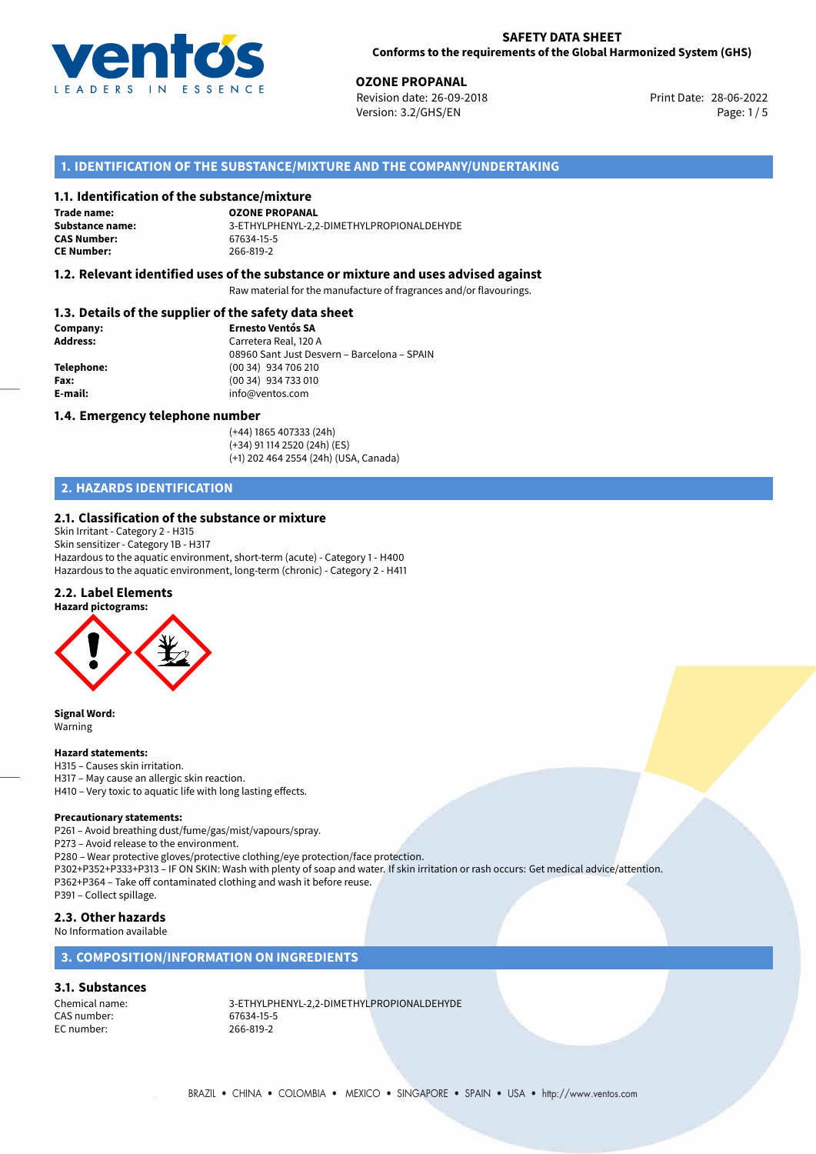

## **SAFETY DATA SHEET Conforms to the requirements of the Global Harmonized System (GHS)**

**OZONE PROPANAL**<br>
Revision date: 26-09-2018 **Print Date: 28-06-2022** Version: 3.2/GHS/EN Page: 1/5

# **1. IDENTIFICATION OF THE SUBSTANCE/MIXTURE AND THE COMPANY/UNDERTAKING**

## **1.1. Identification of the substance/mixture**

**Trade name: CAS Number: CE Number:** 266-819-2

**OZONE PROPANAL Substance name:** 3-ETHYLPHENYL-2,2-DIMETHYLPROPIONALDEHYDE

## **1.2. Relevant identified uses of the substance or mixture and uses advised against**

Raw material for the manufacture of fragrances and/or flavourings.

## **1.3. Details of the supplier of the safety data sheet**

| Company:        | <b>Ernesto Ventós SA</b>                    |
|-----------------|---------------------------------------------|
| <b>Address:</b> | Carretera Real, 120 A                       |
|                 | 08960 Sant Just Desvern - Barcelona - SPAIN |
| Telephone:      | (00 34) 934 706 210                         |
| Fax:            | (00 34) 934 733 010                         |
| E-mail:         | info@ventos.com                             |
|                 |                                             |

## **1.4. Emergency telephone number**

(+44) 1865 407333 (24h) (+34) 91 114 2520 (24h) (ES) (+1) 202 464 2554 (24h) (USA, Canada)

# **2. HAZARDS IDENTIFICATION**

## **2.1. Classification of the substance or mixture**

Skin Irritant - Category 2 - H315 Skin sensitizer - Category 1B - H317 Hazardous to the aquatic environment, short-term (acute) - Category 1 - H400 Hazardous to the aquatic environment, long-term (chronic) - Category 2 - H411

## **2.2. Label Elements**



**Signal Word:** Warning

### **Hazard statements:**

H315 – Causes skin irritation. H317 – May cause an allergic skin reaction. H410 – Very toxic to aquatic life with long lasting effects.

### **Precautionary statements:**

P261 – Avoid breathing dust/fume/gas/mist/vapours/spray.

P273 – Avoid release to the environment.

P280 – Wear protective gloves/protective clothing/eye protection/face protection. P302+P352+P333+P313 – IF ON SKIN: Wash with plenty of soap and water. If skin irritation or rash occurs: Get medical advice/attention. P362+P364 – Take off contaminated clothing and wash it before reuse. P391 – Collect spillage.

### **2.3. Other hazards** No Information available

# **3. COMPOSITION/INFORMATION ON INGREDIENTS**

## **3.1. Substances**

CAS number: 67634-15-5 EC number: 266-819-2

Chemical name: 3-ETHYLPHENYL-2,2-DIMETHYLPROPIONALDEHYDE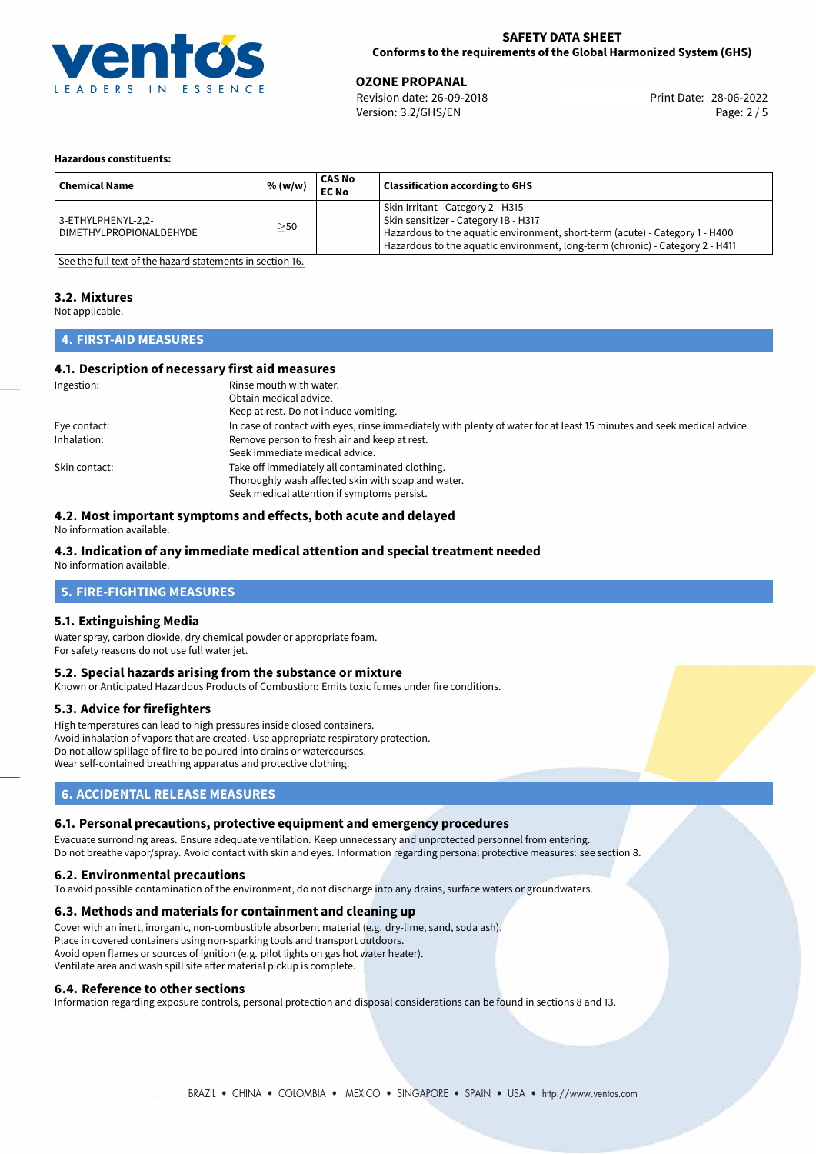

## **SAFETY DATA SHEET Conforms to the requirements of the Global Harmonized System (GHS)**

**OZONE PROPANAL**<br>
Revision date: 26-09-2018 **Print Date: 28-06-2022** Version: 3.2/GHS/EN Page: 2 / 5

## **Hazardous constituents:**

| <b>Chemical Name</b>                            | % (w/w) | <b>CAS No</b><br><b>EC No</b> | <b>Classification according to GHS</b>                                                                                                                                                                                                     |
|-------------------------------------------------|---------|-------------------------------|--------------------------------------------------------------------------------------------------------------------------------------------------------------------------------------------------------------------------------------------|
| 3-ETHYLPHENYL-2,2-<br>  DIMETHYLPROPIONALDEHYDE | >50     |                               | Skin Irritant - Category 2 - H315<br>Skin sensitizer - Category 1B - H317<br>Hazardous to the aquatic environment, short-term (acute) - Category 1 - H400<br>Hazardous to the aquatic environment, long-term (chronic) - Category 2 - H411 |

[See the full text of the hazard statements in section 16.](#page-4-0)

# **3.2. Mixtures**

Not applicable.

# **4. FIRST-AID MEASURES**

## **4.1. Description of necessary first aid measures**

| Ingestion:    | Rinse mouth with water.<br>Obtain medical advice.<br>Keep at rest. Do not induce vomiting.                                                           |
|---------------|------------------------------------------------------------------------------------------------------------------------------------------------------|
| Eye contact:  | In case of contact with eyes, rinse immediately with plenty of water for at least 15 minutes and seek medical advice.                                |
| Inhalation:   | Remove person to fresh air and keep at rest.<br>Seek immediate medical advice.                                                                       |
| Skin contact: | Take off immediately all contaminated clothing.<br>Thoroughly wash affected skin with soap and water.<br>Seek medical attention if symptoms persist. |

# **4.2. Most important symptoms and effects, both acute and delayed**

No information available.

# **4.3. Indication of any immediate medical attention and special treatment needed**

No information available.

## **5. FIRE-FIGHTING MEASURES**

## **5.1. Extinguishing Media**

Water spray, carbon dioxide, dry chemical powder or appropriate foam. For safety reasons do not use full water jet.

## **5.2. Special hazards arising from the substance or mixture**

Known or Anticipated Hazardous Products of Combustion: Emits toxic fumes under fire conditions.

## **5.3. Advice for firefighters**

High temperatures can lead to high pressures inside closed containers. Avoid inhalation of vapors that are created. Use appropriate respiratory protection. Do not allow spillage of fire to be poured into drains or watercourses. Wear self-contained breathing apparatus and protective clothing.

# **6. ACCIDENTAL RELEASE MEASURES**

## **6.1. Personal precautions, protective equipment and emergency procedures**

Evacuate surronding areas. Ensure adequate ventilation. Keep unnecessary and unprotected personnel from entering. Do not breathe vapor/spray. Avoid contact with skin and eyes. Information regarding personal protective measures: see section 8.

## **6.2. Environmental precautions**

To avoid possible contamination of the environment, do not discharge into any drains, surface waters or groundwaters.

## **6.3. Methods and materials for containment and cleaning up**

Cover with an inert, inorganic, non-combustible absorbent material (e.g. dry-lime, sand, soda ash). Place in covered containers using non-sparking tools and transport outdoors. Avoid open flames or sources of ignition (e.g. pilot lights on gas hot water heater). Ventilate area and wash spill site after material pickup is complete.

## **6.4. Reference to other sections**

Information regarding exposure controls, personal protection and disposal considerations can be found in sections 8 and 13.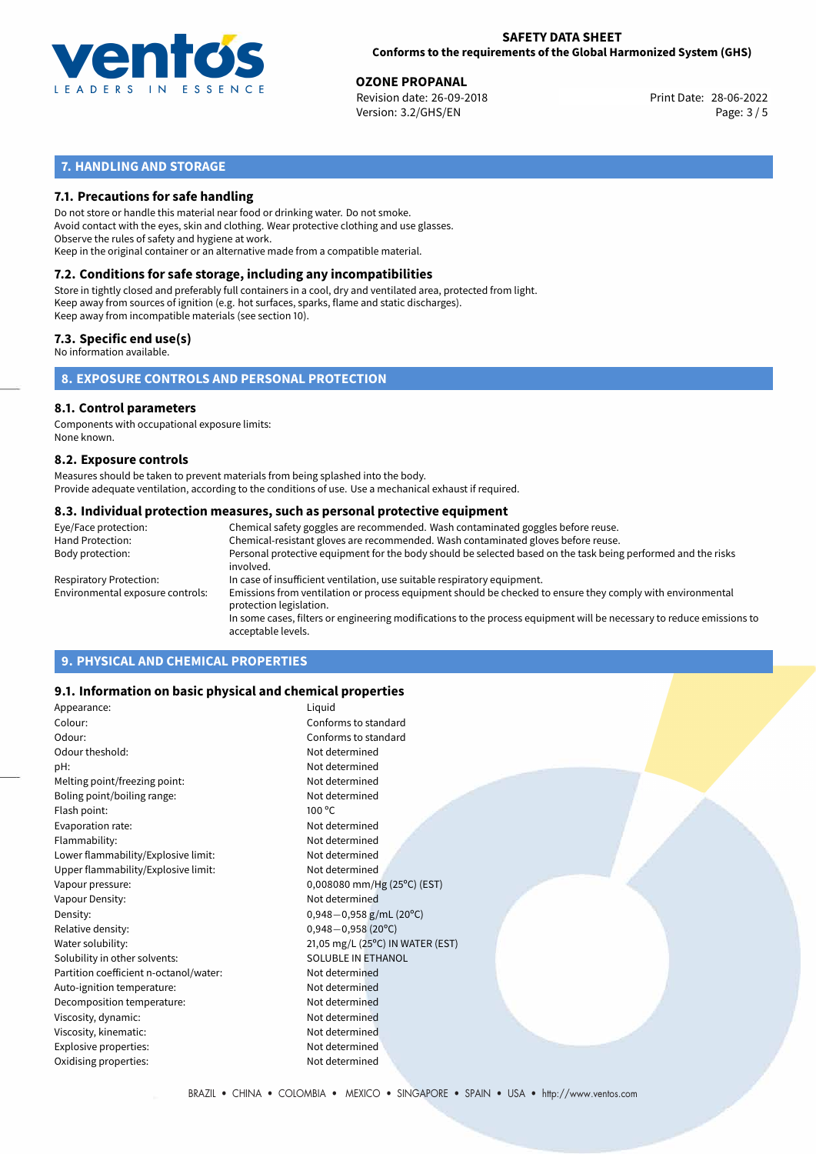

## **SAFETY DATA SHEET Conforms to the requirements of the Global Harmonized System (GHS)**

**OZONE PROPANAL**<br>
Revision date: 26-09-2018 **Print Date: 28-06-2022** Version: 3.2/GHS/EN Page: 3 / 5

# **7. HANDLING AND STORAGE**

## **7.1. Precautions for safe handling**

Do not store or handle this material near food or drinking water. Do not smoke. Avoid contact with the eyes, skin and clothing. Wear protective clothing and use glasses. Observe the rules of safety and hygiene at work. Keep in the original container or an alternative made from a compatible material.

# **7.2. Conditions for safe storage, including any incompatibilities**

Store in tightly closed and preferably full containers in a cool, dry and ventilated area, protected from light. Keep away from sources of ignition (e.g. hot surfaces, sparks, flame and static discharges). Keep away from incompatible materials (see section 10).

## **7.3. Specific end use(s)**

No information available.

## **8. EXPOSURE CONTROLS AND PERSONAL PROTECTION**

# **8.1. Control parameters**

Components with occupational exposure limits: None known.

## **8.2. Exposure controls**

Measures should be taken to prevent materials from being splashed into the body. Provide adequate ventilation, according to the conditions of use. Use a mechanical exhaust if required.

## **8.3. Individual protection measures, such as personal protective equipment**

| Eye/Face protection:             | Chemical safety goggles are recommended. Wash contaminated goggles before reuse.                                                            |
|----------------------------------|---------------------------------------------------------------------------------------------------------------------------------------------|
| Hand Protection:                 | Chemical-resistant gloves are recommended. Wash contaminated gloves before reuse.                                                           |
| Body protection:                 | Personal protective equipment for the body should be selected based on the task being performed and the risks<br>involved.                  |
| Respiratory Protection:          | In case of insufficient ventilation, use suitable respiratory equipment.                                                                    |
| Environmental exposure controls: | Emissions from ventilation or process equipment should be checked to ensure they comply with environmental<br>protection legislation.       |
|                                  | In some cases, filters or engineering modifications to the process equipment will be necessary to reduce emissions to<br>acceptable levels. |
|                                  |                                                                                                                                             |

# **9. PHYSICAL AND CHEMICAL PROPERTIES**

## **9.1. Information on basic physical and chemical properties**

| Appearance:                            | Liquid                           |
|----------------------------------------|----------------------------------|
| Colour:                                | Conforms to standard             |
| Odour:                                 | Conforms to standard             |
| Odour theshold:                        | Not determined                   |
| pH:                                    | Not determined                   |
| Melting point/freezing point:          | Not determined                   |
| Boling point/boiling range:            | Not determined                   |
| Flash point:                           | 100 °C                           |
| Evaporation rate:                      | Not determined                   |
| Flammability:                          | Not determined                   |
| Lower flammability/Explosive limit:    | Not determined                   |
| Upper flammability/Explosive limit:    | Not determined                   |
| Vapour pressure:                       | 0,008080 mm/Hg (25°C) (EST)      |
| Vapour Density:                        | Not determined                   |
| Density:                               | $0,948-0,958$ g/mL (20°C)        |
| Relative density:                      | $0,948 - 0,958(20^{\circ}C)$     |
| Water solubility:                      | 21,05 mg/L (25°C) IN WATER (EST) |
| Solubility in other solvents:          | SOLUBLE IN ETHANOL               |
| Partition coefficient n-octanol/water: | Not determined                   |
| Auto-ignition temperature:             | Not determined                   |
| Decomposition temperature:             | Not determined                   |
| Viscosity, dynamic:                    | Not determined                   |
| Viscosity, kinematic:                  | Not determined                   |
| Explosive properties:                  | Not determined                   |
| Oxidising properties:                  | Not determined                   |
|                                        |                                  |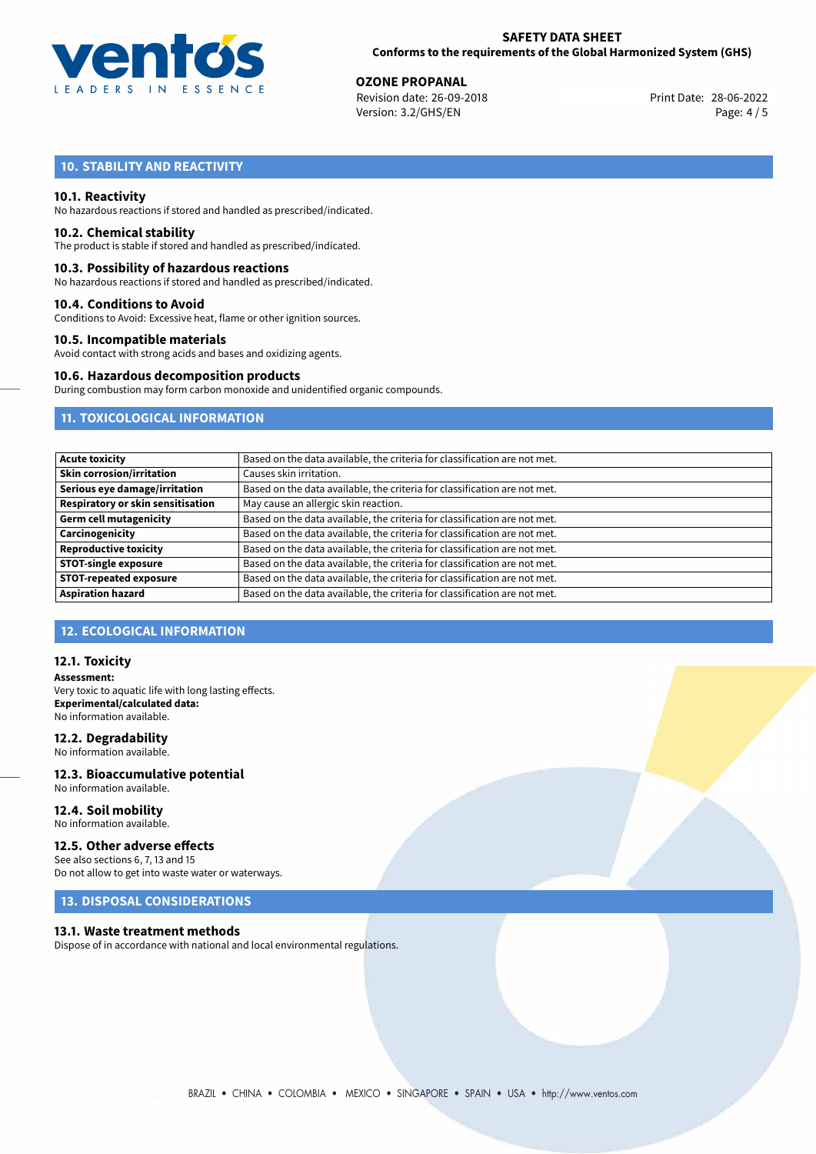

**OZONE PROPANAL**<br>
Revision date: 26-09-2018<br> **Print Date: 28-06-2022** Revision date: 26-09-2018 Version: 3.2/GHS/EN Page: 4 / 5

# **10. STABILITY AND REACTIVITY**

## **10.1. Reactivity**

No hazardous reactions if stored and handled as prescribed/indicated.

## **10.2. Chemical stability**

The product is stable if stored and handled as prescribed/indicated.

## **10.3. Possibility of hazardous reactions**

No hazardous reactions if stored and handled as prescribed/indicated.

## **10.4. Conditions to Avoid**

Conditions to Avoid: Excessive heat, flame or other ignition sources.

## **10.5. Incompatible materials**

Avoid contact with strong acids and bases and oxidizing agents.

## **10.6. Hazardous decomposition products**

During combustion may form carbon monoxide and unidentified organic compounds.

# **11. TOXICOLOGICAL INFORMATION**

| <b>Acute toxicity</b>                    | Based on the data available, the criteria for classification are not met. |
|------------------------------------------|---------------------------------------------------------------------------|
| <b>Skin corrosion/irritation</b>         | Causes skin irritation.                                                   |
| Serious eye damage/irritation            | Based on the data available, the criteria for classification are not met. |
| <b>Respiratory or skin sensitisation</b> | May cause an allergic skin reaction.                                      |
| <b>Germ cell mutagenicity</b>            | Based on the data available, the criteria for classification are not met. |
| Carcinogenicity                          | Based on the data available, the criteria for classification are not met. |
| <b>Reproductive toxicity</b>             | Based on the data available, the criteria for classification are not met. |
| <b>STOT-single exposure</b>              | Based on the data available, the criteria for classification are not met. |
| <b>STOT-repeated exposure</b>            | Based on the data available, the criteria for classification are not met. |
| <b>Aspiration hazard</b>                 | Based on the data available, the criteria for classification are not met. |

## **12. ECOLOGICAL INFORMATION**

## **12.1. Toxicity**

**Assessment:** Very toxic to aquatic life with long lasting effects. **Experimental/calculated data:** No information available.

## **12.2. Degradability**

No information available.

## **12.3. Bioaccumulative potential** No information available.

**12.4. Soil mobility** No information available.

# **12.5. Other adverse effects**

See also sections 6, 7, 13 and 15 Do not allow to get into waste water or waterways.

# **13. DISPOSAL CONSIDERATIONS**

## **13.1. Waste treatment methods**

Dispose of in accordance with national and local environmental regulations.